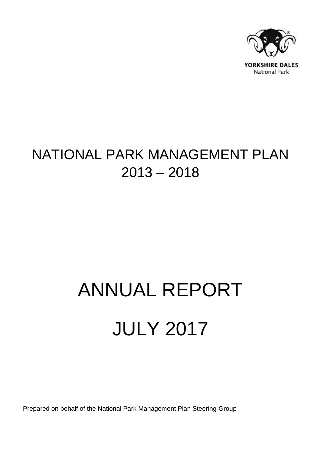

# NATIONAL PARK MANAGEMENT PLAN 2013 – 2018

# ANNUAL REPORT JULY 2017

Prepared on behalf of the National Park Management Plan Steering Group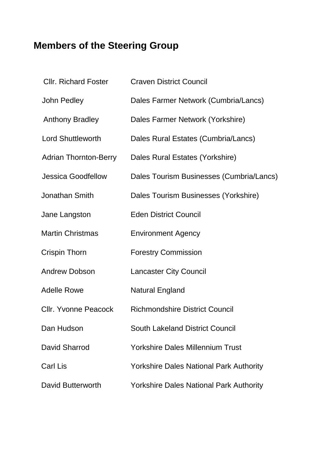## **Members of the Steering Group**

| <b>CIIr. Richard Foster</b>  | <b>Craven District Council</b>                 |
|------------------------------|------------------------------------------------|
| John Pedley                  | Dales Farmer Network (Cumbria/Lancs)           |
| <b>Anthony Bradley</b>       | Dales Farmer Network (Yorkshire)               |
| <b>Lord Shuttleworth</b>     | Dales Rural Estates (Cumbria/Lancs)            |
| <b>Adrian Thornton-Berry</b> | Dales Rural Estates (Yorkshire)                |
| <b>Jessica Goodfellow</b>    | Dales Tourism Businesses (Cumbria/Lancs)       |
| Jonathan Smith               | Dales Tourism Businesses (Yorkshire)           |
| Jane Langston                | <b>Eden District Council</b>                   |
| <b>Martin Christmas</b>      | <b>Environment Agency</b>                      |
| Crispin Thorn                | <b>Forestry Commission</b>                     |
| <b>Andrew Dobson</b>         | <b>Lancaster City Council</b>                  |
| <b>Adelle Rowe</b>           | <b>Natural England</b>                         |
| <b>Cllr. Yvonne Peacock</b>  | <b>Richmondshire District Council</b>          |
| Dan Hudson                   | <b>South Lakeland District Council</b>         |
| David Sharrod                | <b>Yorkshire Dales Millennium Trust</b>        |
| <b>Carl Lis</b>              | <b>Yorkshire Dales National Park Authority</b> |
| David Butterworth            | <b>Yorkshire Dales National Park Authority</b> |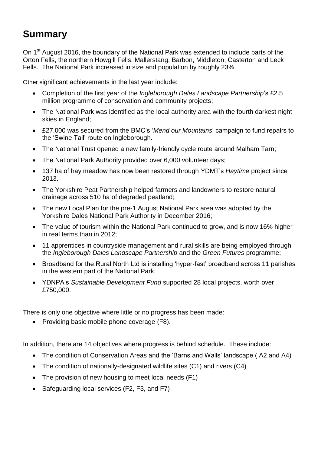## **Summary**

On 1<sup>st</sup> August 2016, the boundary of the National Park was extended to include parts of the Orton Fells, the northern Howgill Fells, Mallerstang, Barbon, Middleton, Casterton and Leck Fells. The National Park increased in size and population by roughly 23%.

Other significant achievements in the last year include:

- Completion of the first year of the *Ingleborough Dales Landscape Partnership*'s £2.5 million programme of conservation and community projects;
- The National Park was identified as the local authority area with the fourth darkest night skies in England;
- £27,000 was secured from the BMC's '*Mend our Mountains*' campaign to fund repairs to the 'Swine Tail' route on Ingleborough.
- The National Trust opened a new family-friendly cycle route around Malham Tarn;
- The National Park Authority provided over 6,000 volunteer days;
- 137 ha of hay meadow has now been restored through YDMT's *Haytime* project since 2013.
- The Yorkshire Peat Partnership helped farmers and landowners to restore natural drainage across 510 ha of degraded peatland;
- The new Local Plan for the pre-1 August National Park area was adopted by the Yorkshire Dales National Park Authority in December 2016;
- The value of tourism within the National Park continued to grow, and is now 16% higher in real terms than in 2012;
- 11 apprentices in countryside management and rural skills are being employed through the *Ingleborough Dales Landscape Partnership* and the *Green Futures* programme;
- Broadband for the Rural North Ltd is installing 'hyper-fast' broadband across 11 parishes in the western part of the National Park;
- YDNPA's *Sustainable Development Fund* supported 28 local projects, worth over £750,000.

There is only one objective where little or no progress has been made:

• Providing basic mobile phone coverage (F8).

In addition, there are 14 objectives where progress is behind schedule. These include:

- The condition of Conservation Areas and the 'Barns and Walls' landscape ( A2 and A4)
- The condition of nationally-designated wildlife sites (C1) and rivers (C4)
- The provision of new housing to meet local needs (F1)
- Safeguarding local services (F2, F3, and F7)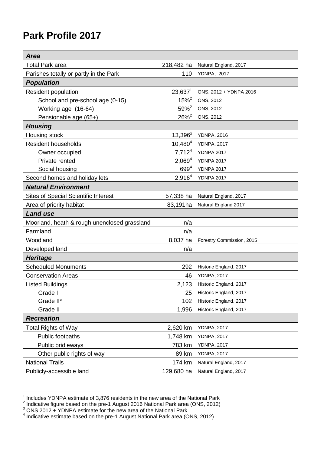## **Park Profile 2017**

<span id="page-3-1"></span><span id="page-3-0"></span>

| <b>Area</b>                                  |                    |                           |
|----------------------------------------------|--------------------|---------------------------|
| <b>Total Park area</b>                       | 218,482 ha         | Natural England, 2017     |
| Parishes totally or partly in the Park       | 110                | <b>YDNPA, 2017</b>        |
| <b>Population</b>                            |                    |                           |
| <b>Resident population</b>                   | $23,637^1$         | ONS, 2012 + YDNPA 2016    |
| School and pre-school age (0-15)             | $15%^{2}$          | ONS, 2012                 |
| Working age (16-64)                          | $59%^{2}$          | ONS, 2012                 |
| Pensionable age (65+)                        | $26\%^{2}$         | ONS, 2012                 |
| <b>Housing</b>                               |                    |                           |
| Housing stock                                | $13,396^3$         | <b>YDNPA, 2016</b>        |
| <b>Resident households</b>                   | $10,480^{4}$       | <b>YDNPA, 2017</b>        |
| Owner occupied                               | 7,712 <sup>4</sup> | <b>YDNPA 2017</b>         |
| Private rented                               | $2,069^{4}$        | <b>YDNPA 2017</b>         |
| Social housing                               | $699^{4}$          | <b>YDNPA 2017</b>         |
| Second homes and holiday lets                | 2,916 <sup>4</sup> | <b>YDNPA 2017</b>         |
| <b>Natural Environment</b>                   |                    |                           |
| <b>Sites of Special Scientific Interest</b>  | 57,338 ha          | Natural England, 2017     |
| Area of priority habitat                     | 83,191ha           | Natural England 2017      |
| <b>Land use</b>                              |                    |                           |
| Moorland, heath & rough unenclosed grassland | n/a                |                           |
| Farmland                                     | n/a                |                           |
| Woodland                                     | 8,037 ha           | Forestry Commission, 2015 |
| Developed land                               | n/a                |                           |
| <b>Heritage</b>                              |                    |                           |
| <b>Scheduled Monuments</b>                   | 292                | Historic England, 2017    |
| <b>Conservation Areas</b>                    | 46                 | <b>YDNPA, 2017</b>        |
| <b>Listed Buildings</b>                      | 2,123              | Historic England, 2017    |
| Grade I                                      | 25                 | Historic England, 2017    |
| Grade II*                                    | 102                | Historic England, 2017    |
| Grade II                                     | 1,996              | Historic England, 2017    |
| <b>Recreation</b>                            |                    |                           |
| <b>Total Rights of Way</b>                   | 2,620 km           | <b>YDNPA, 2017</b>        |
| Public footpaths                             | 1,748 km           | <b>YDNPA, 2017</b>        |
| Public bridleways                            | 783 km             | <b>YDNPA, 2017</b>        |
| Other public rights of way                   | 89 km              | <b>YDNPA, 2017</b>        |
| <b>National Trails</b>                       | 174 km             | Natural England, 2017     |
| Publicly-accessible land                     | 129,680 ha         | Natural England, 2017     |

 1 Includes YDNPA estimate of 3,876 residents in the new area of the National Park 2 Indicative figure based on the pre-1 August 2016 National Park area (ONS, 2012)

 $^3$  ONS 2012 + YDNPA estimate for the new area of the National Park  $\overline{\phantom{a}}$  Indicative estimate based on the pre-1 August National Park area (ONS, 2012)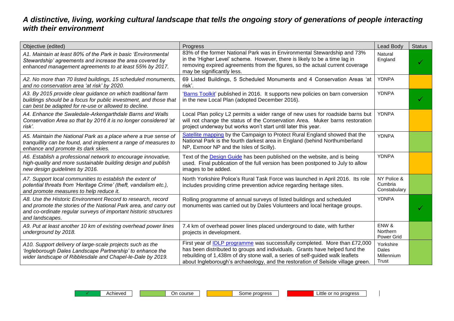#### *A distinctive, living, working cultural landscape that tells the ongoing story of generations of people interacting with their environment*

| Objective (edited)                                                                                                                                                                                                     | Progress                                                                                                                                                                                                                                                                                                                             | <b>Lead Body</b>                          | <b>Status</b> |
|------------------------------------------------------------------------------------------------------------------------------------------------------------------------------------------------------------------------|--------------------------------------------------------------------------------------------------------------------------------------------------------------------------------------------------------------------------------------------------------------------------------------------------------------------------------------|-------------------------------------------|---------------|
| A1. Maintain at least 80% of the Park in basic 'Environmental<br>Stewardship' agreements and increase the area covered by<br>enhanced management agreements to at least 55% by 2017.                                   | 83% of the former National Park was in Environmental Stewardship and 73%<br>in the 'Higher Level' scheme. However, there is likely to be a time lag in<br>removing expired agreements from the figures, so the actual current coverage<br>may be significantly less.                                                                 | Natural<br>England                        | ✓             |
| A2. No more than 70 listed buildings, 15 scheduled monuments,<br>and no conservation area 'at risk' by 2020.                                                                                                           | 69 Listed Buildings, 5 Scheduled Monuments and 4 Conservation Areas 'at<br>risk'.                                                                                                                                                                                                                                                    | <b>YDNPA</b>                              |               |
| A3. By 2015 provide clear guidance on which traditional farm<br>buildings should be a focus for public investment, and those that<br>can best be adapted for re-use or allowed to decline.                             | 'Barns Toolkit' published in 2016. It supports new policies on barn conversion<br>in the new Local Plan (adopted December 2016).                                                                                                                                                                                                     | <b>YDNPA</b>                              |               |
| A4. Enhance the Swaledale-Arkengarthdale Barns and Walls<br>Conservation Area so that by 2016 it is no longer considered 'at<br>risk'.                                                                                 | Local Plan policy L2 permits a wider range of new uses for roadside barns but<br>will not change the status of the Conservation Area. Muker barns restoration<br>project underway but works won't start until later this year.                                                                                                       | <b>YDNPA</b>                              |               |
| A5. Maintain the National Park as a place where a true sense of<br>tranquillity can be found, and implement a range of measures to<br>enhance and promote its dark skies.                                              | Satellite mapping by the Campaign to Protect Rural England showed that the<br>National Park is the fourth darkest area in England (behind Northumberland<br>NP, Exmoor NP and the Isles of Scilly).                                                                                                                                  | <b>YDNPA</b>                              |               |
| A6. Establish a professional network to encourage innovative,<br>high-quality and more sustainable building design and publish<br>new design guidelines by 2016.                                                       | Text of the Design Guide has been published on the website, and is being<br>used. Final publication of the full version has been postponed to July to allow<br>images to be added.                                                                                                                                                   | <b>YDNPA</b>                              |               |
| A7. Support local communities to establish the extent of<br>potential threats from 'Heritage Crime' (theft, vandalism etc.),<br>and promote measures to help reduce it.                                                | North Yorkshire Police's Rural Task Force was launched in April 2016. Its role<br>includes providing crime prevention advice regarding heritage sites.                                                                                                                                                                               | NY Police &<br>Cumbria<br>Constabulary    |               |
| A8. Use the Historic Environment Record to research, record<br>and promote the stories of the National Park area, and carry out<br>and co-ordinate regular surveys of important historic structures<br>and landscapes. | Rolling programme of annual surveys of listed buildings and scheduled<br>monuments was carried out by Dales Volunteers and local heritage groups.                                                                                                                                                                                    | <b>YDNPA</b>                              |               |
| A9. Put at least another 10 km of existing overhead power lines<br>underground by 2018.                                                                                                                                | 7.4 km of overhead power lines placed underground to date, with further<br>projects in development.                                                                                                                                                                                                                                  | ENW &<br>Northern<br>Power Grid           |               |
| A10. Support delivery of large-scale projects such as the<br>'Ingleborough Dales Landscape Partnership' to enhance the<br>wider landscape of Ribblesdale and Chapel-le-Dale by 2019.                                   | First year of <b>IDLP</b> programme was successfully completed. More than £72,000<br>has been distributed to groups and individuals. Grants have helped fund the<br>rebuilding of 1,438m of dry stone wall, a series of self-guided walk leaflets<br>about Ingleborough's archaeology, and the restoration of Selside village green. | Yorkshire<br>Dales<br>Millennium<br>Trust |               |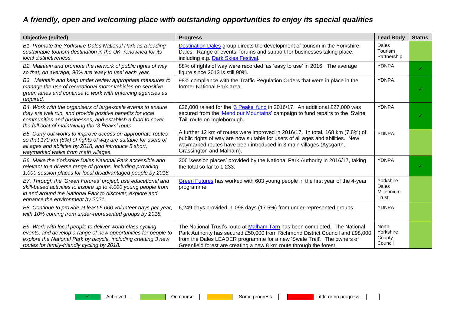#### *A friendly, open and welcoming place with outstanding opportunities to enjoy its special qualities*

| <b>Objective (edited)</b>                                                                                                                                                                                                                    | <b>Progress</b>                                                                                                                                                                                                                                                                                              | <b>Lead Body</b>                                 | <b>Status</b> |
|----------------------------------------------------------------------------------------------------------------------------------------------------------------------------------------------------------------------------------------------|--------------------------------------------------------------------------------------------------------------------------------------------------------------------------------------------------------------------------------------------------------------------------------------------------------------|--------------------------------------------------|---------------|
| B1. Promote the Yorkshire Dales National Park as a leading<br>sustainable tourism destination in the UK, renowned for its<br>local distinctiveness.                                                                                          | <b>Destination Dales</b> group directs the development of tourism in the Yorkshire<br>Dales. Range of events, forums and support for businesses taking place,<br>including e.g. Dark Skies Festival.                                                                                                         | <b>Dales</b><br>Tourism<br>Partnership           |               |
| B2. Maintain and promote the network of public rights of way<br>so that, on average, 90% are 'easy to use' each year.                                                                                                                        | 88% of rights of way were recorded 'as 'easy to use' in 2016. The average<br>figure since 2013 is still 90%.                                                                                                                                                                                                 | <b>YDNPA</b>                                     | ✓             |
| B3. Maintain and keep under review appropriate measures to<br>manage the use of recreational motor vehicles on sensitive<br>green lanes and continue to work with enforcing agencies as<br>required.                                         | 98% compliance with the Traffic Regulation Orders that were in place in the<br>former National Park area.                                                                                                                                                                                                    | <b>YDNPA</b>                                     |               |
| B4. Work with the organisers of large-scale events to ensure<br>they are well run, and provide positive benefits for local<br>communities and businesses, and establish a fund to cover<br>the full cost of maintaining the '3 Peaks' route. | £26,000 raised for the '3 Peaks' fund in 2016/17. An additional £27,000 was<br>secured from the 'Mend our Mountains' campaign to fund repairs to the 'Swine<br>Tail' route on Ingleborough.                                                                                                                  | <b>YDNPA</b>                                     |               |
| B5. Carry out works to improve access on appropriate routes<br>so that 170 km (8%) of rights of way are suitable for users of<br>all ages and abilities by 2018, and introduce 5 short,<br>waymarked walks from main villages.               | A further 12 km of routes were improved in 2016/17. In total, 168 km (7.8%) of<br>public rights of way are now suitable for users of all ages and abilities. New<br>waymarked routes have been introduced in 3 main villages (Aysgarth,<br>Grassington and Malham).                                          | <b>YDNPA</b>                                     |               |
| B6. Make the Yorkshire Dales National Park accessible and<br>relevant to a diverse range of groups, including providing<br>1,000 session places for local disadvantaged people by 2018.                                                      | 306 'session places' provided by the National Park Authority in 2016/17, taking<br>the total so far to 1,233.                                                                                                                                                                                                | <b>YDNPA</b>                                     |               |
| B7. Through the 'Green Futures' project, use educational and<br>skill-based activities to inspire up to 4,000 young people from<br>in and around the National Park to discover, explore and<br>enhance the environment by 2021.              | Green Futures has worked with 603 young people in the first year of the 4-year<br>programme.                                                                                                                                                                                                                 | Yorkshire<br>Dales<br>Millennium<br><b>Trust</b> |               |
| B8. Continue to provide at least 5,000 volunteer days per year,<br>with 10% coming from under-represented groups by 2018.                                                                                                                    | 6,249 days provided. 1,098 days (17.5%) from under-represented groups.                                                                                                                                                                                                                                       | <b>YDNPA</b>                                     |               |
| B9. Work with local people to deliver world-class cycling<br>events, and develop a range of new opportunities for people to<br>explore the National Park by bicycle, including creating 3 new<br>routes for family-friendly cycling by 2018. | The National Trust's route at Malham Tarn has been completed. The National<br>Park Authority has secured £50,000 from Richmond District Council and £98,000<br>from the Dales LEADER programme for a new 'Swale Trail'. The owners of<br>Greenfield forest are creating a new 8 km route through the forest. | <b>North</b><br>Yorkshire<br>County<br>Council   |               |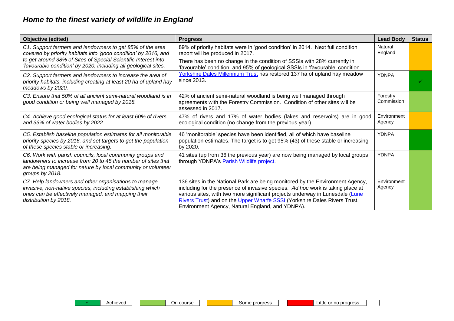#### *Home to the finest variety of wildlife in England*

| <b>Objective (edited)</b>                                                                                                                                                                                     | <b>Progress</b>                                                                                                                                                                                                                                                                                                                                                                   | <b>Lead Body</b>       | <b>Status</b> |
|---------------------------------------------------------------------------------------------------------------------------------------------------------------------------------------------------------------|-----------------------------------------------------------------------------------------------------------------------------------------------------------------------------------------------------------------------------------------------------------------------------------------------------------------------------------------------------------------------------------|------------------------|---------------|
| C1. Support farmers and landowners to get 85% of the area<br>covered by priority habitats into 'good condition' by 2016, and                                                                                  | 89% of priority habitats were in 'good condition' in 2014. Next full condition<br>report will be produced in 2017.                                                                                                                                                                                                                                                                | Natural<br>England     |               |
| to get around 38% of Sites of Special Scientific Interest into<br>'favourable condition' by 2020, including all geological sites.                                                                             | There has been no change in the condition of SSSIs with 28% currently in<br>'favourable' condition, and 95% of geological SSSIs in 'favourable' condition.                                                                                                                                                                                                                        |                        |               |
| C2. Support farmers and landowners to increase the area of<br>priority habitats, including creating at least 20 ha of upland hay<br>meadows by 2020.                                                          | Yorkshire Dales Millennium Trust has restored 137 ha of upland hay meadow<br>since 2013.                                                                                                                                                                                                                                                                                          | <b>YDNPA</b>           |               |
| C3. Ensure that 50% of all ancient semi-natural woodland is in<br>good condition or being well managed by 2018.                                                                                               | 42% of ancient semi-natural woodland is being well managed through<br>agreements with the Forestry Commission. Condition of other sites will be<br>assessed in 2017.                                                                                                                                                                                                              | Forestry<br>Commission |               |
| C4. Achieve good ecological status for at least 60% of rivers<br>and 33% of water bodies by 2022.                                                                                                             | 47% of rivers and 17% of water bodies (lakes and reservoirs) are in good<br>ecological condition (no change from the previous year).                                                                                                                                                                                                                                              | Environment<br>Agency  |               |
| C5. Establish baseline population estimates for all monitorable<br>priority species by 2016, and set targets to get the population<br>of these species stable or increasing.                                  | 46 'monitorable' species have been identified, all of which have baseline<br>population estimates. The target is to get 95% (43) of these stable or increasing<br>by 2020.                                                                                                                                                                                                        | <b>YDNPA</b>           |               |
| C6. Work with parish councils, local community groups and<br>landowners to increase from 20 to 45 the number of sites that<br>are being managed for nature by local community or volunteer<br>groups by 2018. | 41 sites (up from 36 the previous year) are now being managed by local groups<br>through YDNPA's Parish Wildlife project.                                                                                                                                                                                                                                                         | <b>YDNPA</b>           |               |
| C7. Help landowners and other organisations to manage<br>invasive, non-native species, including establishing which<br>ones can be effectively managed, and mapping their<br>distribution by 2018.            | 136 sites in the National Park are being monitored by the Environment Agency,<br>including for the presence of invasive species. Ad hoc work is taking place at<br>various sites, with two more significant projects underway in Lunesdale (Lune<br>Rivers Trust) and on the Upper Wharfe SSSI (Yorkshire Dales Rivers Trust,<br>Environment Agency, Natural England, and YDNPA). | Environment<br>Agency  |               |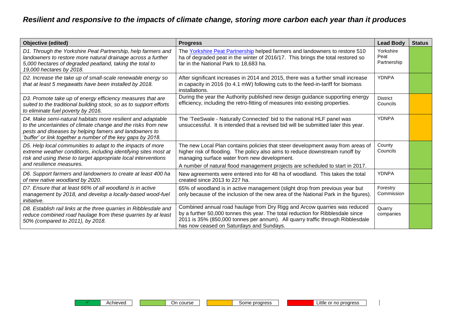#### *Resilient and responsive to the impacts of climate change, storing more carbon each year than it produces*

| <b>Objective (edited)</b>                                                                                                                                                                                                                             | <b>Progress</b>                                                                                                                                                                                                                                                                                 | <b>Lead Body</b>                 | <b>Status</b> |
|-------------------------------------------------------------------------------------------------------------------------------------------------------------------------------------------------------------------------------------------------------|-------------------------------------------------------------------------------------------------------------------------------------------------------------------------------------------------------------------------------------------------------------------------------------------------|----------------------------------|---------------|
| D1. Through the Yorkshire Peat Partnership, help farmers and<br>landowners to restore more natural drainage across a further<br>5,000 hectares of degraded peatland, taking the total to<br>19,000 hectares by 2018.                                  | The Yorkshire Peat Partnership helped farmers and landowners to restore 510<br>ha of degraded peat in the winter of 2016/17. This brings the total restored so<br>far in the National Park to 18,683 ha.                                                                                        | Yorkshire<br>Peat<br>Partnership |               |
| D2. Increase the take up of small-scale renewable energy so<br>that at least 5 megawatts have been installed by 2018.                                                                                                                                 | After significant increases in 2014 and 2015, there was a further small increase<br>in capacity in 2016 (to 4.1 mW) following cuts to the feed-in-tariff for biomass<br>installations.                                                                                                          | <b>YDNPA</b>                     |               |
| D3. Promote take up of energy efficiency measures that are<br>suited to the traditional building stock, so as to support efforts<br>to eliminate fuel poverty by 2016.                                                                                | During the year the Authority published new design guidance supporting energy<br>efficiency, including the retro-fitting of measures into existing properties.                                                                                                                                  | <b>District</b><br>Councils      |               |
| D4. Make semi-natural habitats more resilient and adaptable<br>to the uncertainties of climate change and the risks from new<br>pests and diseases by helping famers and landowners to<br>'buffer' or link together a number of the key gaps by 2018. | The 'TeeSwale - Naturally Connected' bid to the national HLF panel was<br>unsuccessful. It is intended that a revised bid will be submitted later this year.                                                                                                                                    | <b>YDNPA</b>                     |               |
| D5. Help local communities to adapt to the impacts of more<br>extreme weather conditions, including identifying sites most at<br>risk and using these to target appropriate local interventions<br>and resilience measures.                           | The new Local Plan contains policies that steer development away from areas of<br>higher risk of flooding. The policy also aims to reduce downstream runoff by<br>managing surface water from new development.<br>A number of natural flood management projects are scheduled to start in 2017. | County<br>Councils               |               |
| D6. Support farmers and landowners to create at least 400 ha<br>of new native woodland by 2020.                                                                                                                                                       | New agreements were entered into for 48 ha of woodland. This takes the total<br>created since 2013 to 227 ha.                                                                                                                                                                                   | <b>YDNPA</b>                     |               |
| D7. Ensure that at least 66% of all woodland is in active<br>management by 2018, and develop a locally-based wood-fuel<br><i>initiative.</i>                                                                                                          | 65% of woodland is in active management (slight drop from previous year but<br>only because of the inclusion of the new area of the National Park in the figures).                                                                                                                              | Forestry<br>Commission           |               |
| D8. Establish rail links at the three quarries in Ribblesdale and<br>reduce combined road haulage from these quarries by at least<br>50% (compared to 2011), by 2018.                                                                                 | Combined annual road haulage from Dry Rigg and Arcow quarries was reduced<br>by a further 50,000 tonnes this year. The total reduction for Ribblesdale since<br>2011 is 35% (850,000 tonnes per annum). All quarry traffic through Ribblesdale<br>has now ceased on Saturdays and Sundays.      | Quarry<br>companies              |               |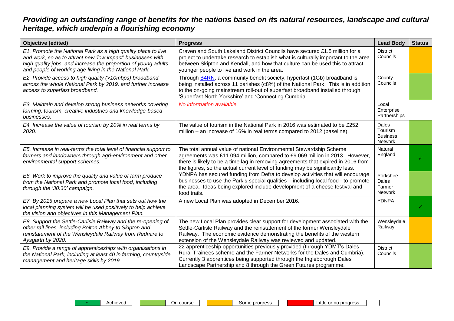#### *Providing an outstanding range of benefits for the nations based on its natural resources, landscape and cultural heritage, which underpin a flourishing economy*

| <b>Objective (edited)</b>                                                                                                                                                                                                                                | <b>Progress</b>                                                                                                                                                                                                                                                                                                            | <b>Lead Body</b>                               | <b>Status</b> |
|----------------------------------------------------------------------------------------------------------------------------------------------------------------------------------------------------------------------------------------------------------|----------------------------------------------------------------------------------------------------------------------------------------------------------------------------------------------------------------------------------------------------------------------------------------------------------------------------|------------------------------------------------|---------------|
| E1. Promote the National Park as a high quality place to live<br>and work, so as to attract new 'low impact' businesses with<br>high quality jobs, and increase the proportion of young adults<br>and people of working age living in the National Park. | Craven and South Lakeland District Councils have secured £1.5 million for a<br>project to undertake research to establish what is culturally important to the area<br>between Skipton and Kendall, and how that culture can be used this to attract<br>younger people to live and work in the area.                        | <b>District</b><br>Councils                    |               |
| E2. Provide access to high quality (>10mbps) broadband<br>across the whole National Park by 2019, and further increase<br>access to superfast broadband.                                                                                                 | Through <b>B4RN</b> , a community benefit society, hyperfast (1Gb) broadband is<br>being installed across 11 parishes (c8%) of the National Park. This is in addition<br>to the on-going mainstream roll-out of superfast broadband installed through<br>'Superfast North Yorkshire' and 'Connecting Cumbria'.             | County<br>Councils                             |               |
| E3. Maintain and develop strong business networks covering<br>farming, tourism, creative industries and knowledge-based<br>businesses.                                                                                                                   | No information available                                                                                                                                                                                                                                                                                                   | Local<br>Enterprise<br>Partnerships            |               |
| E4. Increase the value of tourism by 20% in real terms by<br>2020.                                                                                                                                                                                       | The value of tourism in the National Park in 2016 was estimated to be £252<br>million – an increase of 16% in real terms compared to 2012 (baseline).                                                                                                                                                                      | Dales<br>Tourism<br><b>Business</b><br>Network |               |
| E5. Increase in real-terms the total level of financial support to<br>farmers and landowners through agri-environment and other<br>environmental support schemes.                                                                                        | The total annual value of national Environmental Stewardship Scheme<br>agreements was £11.094 million, compared to £9.069 million in 2013. However,<br>there is likely to be a time lag in removing agreements that expired in 2016 from<br>the figures, so the actual current level of funding may be significantly less. | Natural<br>England                             |               |
| E6. Work to improve the quality and value of farm produce<br>from the National Park and promote local food, including<br>through the '30:30' campaign.                                                                                                   | YDNPA has secured funding from Defra to develop activities that will encourage<br>businesses to use the Park's special qualities - including local food - to promote<br>the area. Ideas being explored include development of a cheese festival and<br>food trails.                                                        | Yorkshire<br>Dales<br>Farmer<br>Network        |               |
| E7. By 2015 prepare a new Local Plan that sets out how the<br>local planning system will be used positively to help achieve<br>the vision and objectives in this Management Plan.                                                                        | A new Local Plan was adopted in December 2016.                                                                                                                                                                                                                                                                             | <b>YDNPA</b>                                   |               |
| E8. Support the Settle-Carlisle Railway and the re-opening of<br>other rail lines, including Bolton Abbey to Skipton and<br>reinstatement of the Wensleydale Railway from Redmire to<br>Aysgarth by 2020.                                                | The new Local Plan provides clear support for development associated with the<br>Settle-Carlisle Railway and the reinstatement of the former Wensleydale<br>Railway. The economic evidence demonstrating the benefits of the western<br>extension of the Wensleydale Railway was reviewed and updated.                     | Wensleydale<br>Railway                         |               |
| E9. Provide a range of apprenticeships with organisations in<br>the National Park, including at least 40 in farming, countryside<br>management and heritage skills by 2019.                                                                              | 22 apprenticeship opportunities previously provided (through YDMT's Dales<br>Rural Trainees scheme and the Farmer Networks for the Dales and Cumbria).<br>Currently 3 apprentices being supported through the Ingleborough Dales<br>Landscape Partnership and 8 through the Green Futures programme.                       | <b>District</b><br>Councils                    |               |